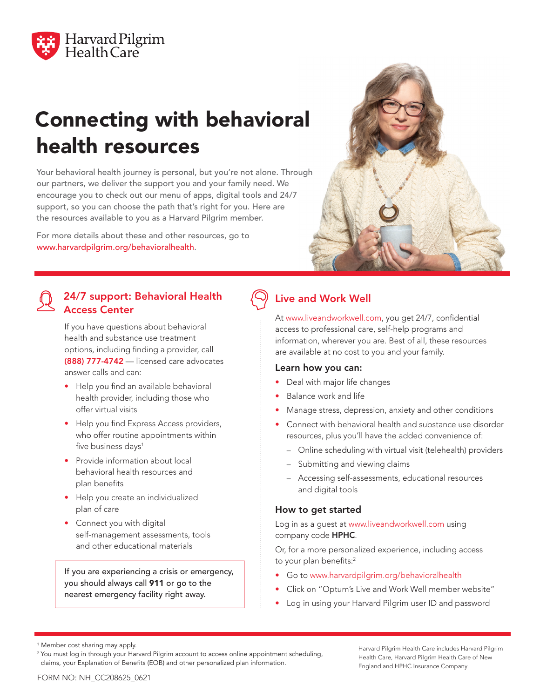

# Connecting with behavioral health resources

Your behavioral health journey is personal, but you're not alone. Through our partners, we deliver the support you and your family need. We encourage you to check out our menu of apps, digital tools and 24/7 support, so you can choose the path that's right for you. Here are the resources available to you as a Harvard Pilgrim member.

For more details about these and other resources, go to www.harvardpilgrim.org/behavioralhealth.



# 24/7 support: Behavioral Health Access Center

If you have questions about behavioral health and substance use treatment options, including finding a provider, call (888) 777-4742 — licensed care advocates answer calls and can:

- Help you find an available behavioral health provider, including those who offer virtual visits
- Help you find Express Access providers, who offer routine appointments within five business days<sup>1</sup>
- Provide information about local behavioral health resources and plan benefits
- Help you create an individualized plan of care
- Connect you with digital self-management assessments, tools and other educational materials

If you are experiencing a crisis or emergency, you should always call 911 or go to the nearest emergency facility right away.

# Live and Work Well

At www.liveandworkwell.com, you get 24/7, confidential access to professional care, self-help programs and information, wherever you are. Best of all, these resources are available at no cost to you and your family.

## Learn how you can:

- Deal with major life changes
- Balance work and life
- Manage stress, depression, anxiety and other conditions
- Connect with behavioral health and substance use disorder resources, plus you'll have the added convenience of:
	- Online scheduling with virtual visit (telehealth) providers
	- Submitting and viewing claims
	- Accessing self-assessments, educational resources and digital tools

## How to get started

Log in as a guest at www.liveandworkwell.com using company code HPHC.

Or, for a more personalized experience, including access to your plan benefits:<sup>2</sup>

- Go to www.harvardpilgrim.org/behavioralhealth
- Click on "Optum's Live and Work Well member website"
- Log in using your Harvard Pilgrim user ID and password

Harvard Pilgrim Health Care includes Harvard Pilgrim Health Care, Harvard Pilgrim Health Care of New England and HPHC Insurance Company.

<sup>1</sup> Member cost sharing may apply.

<sup>&</sup>lt;sup>2</sup> You must log in through your Harvard Pilgrim account to access online appointment scheduling, claims, your Explanation of Benefits (EOB) and other personalized plan information.